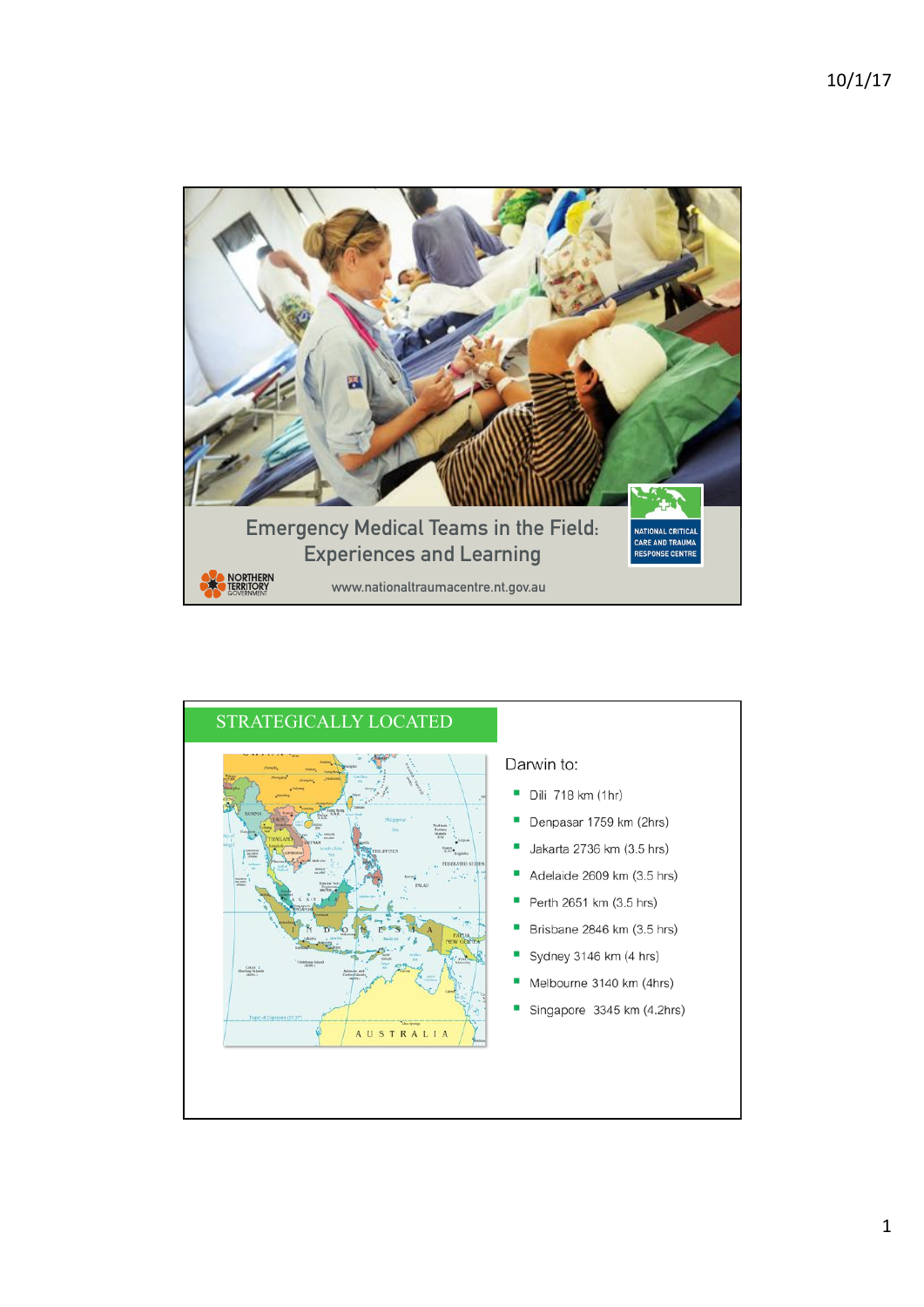

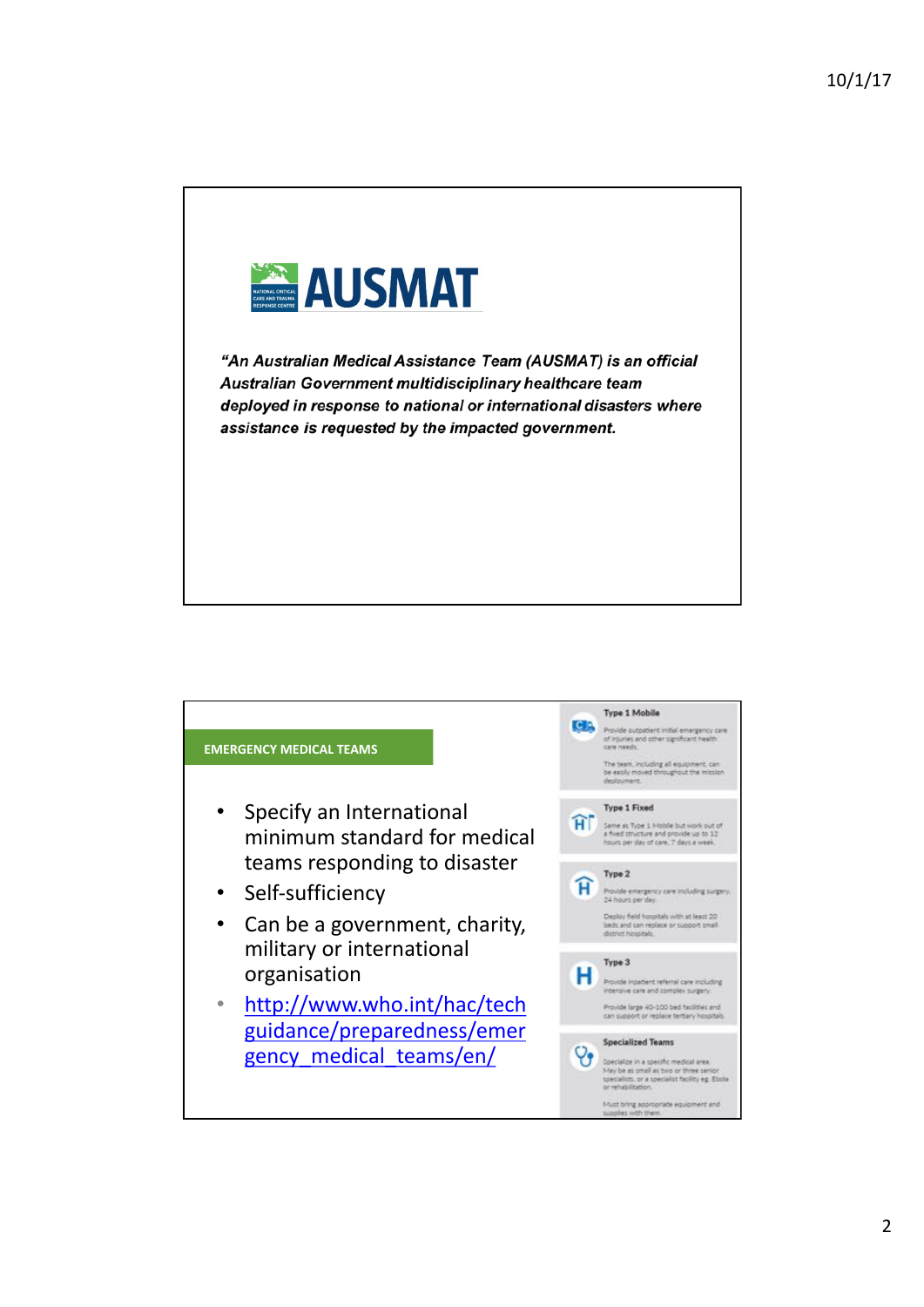

"An Australian Medical Assistance Team (AUSMAT) is an official Australian Government multidisciplinary healthcare team deployed in response to national or international disasters where assistance is requested by the impacted government.

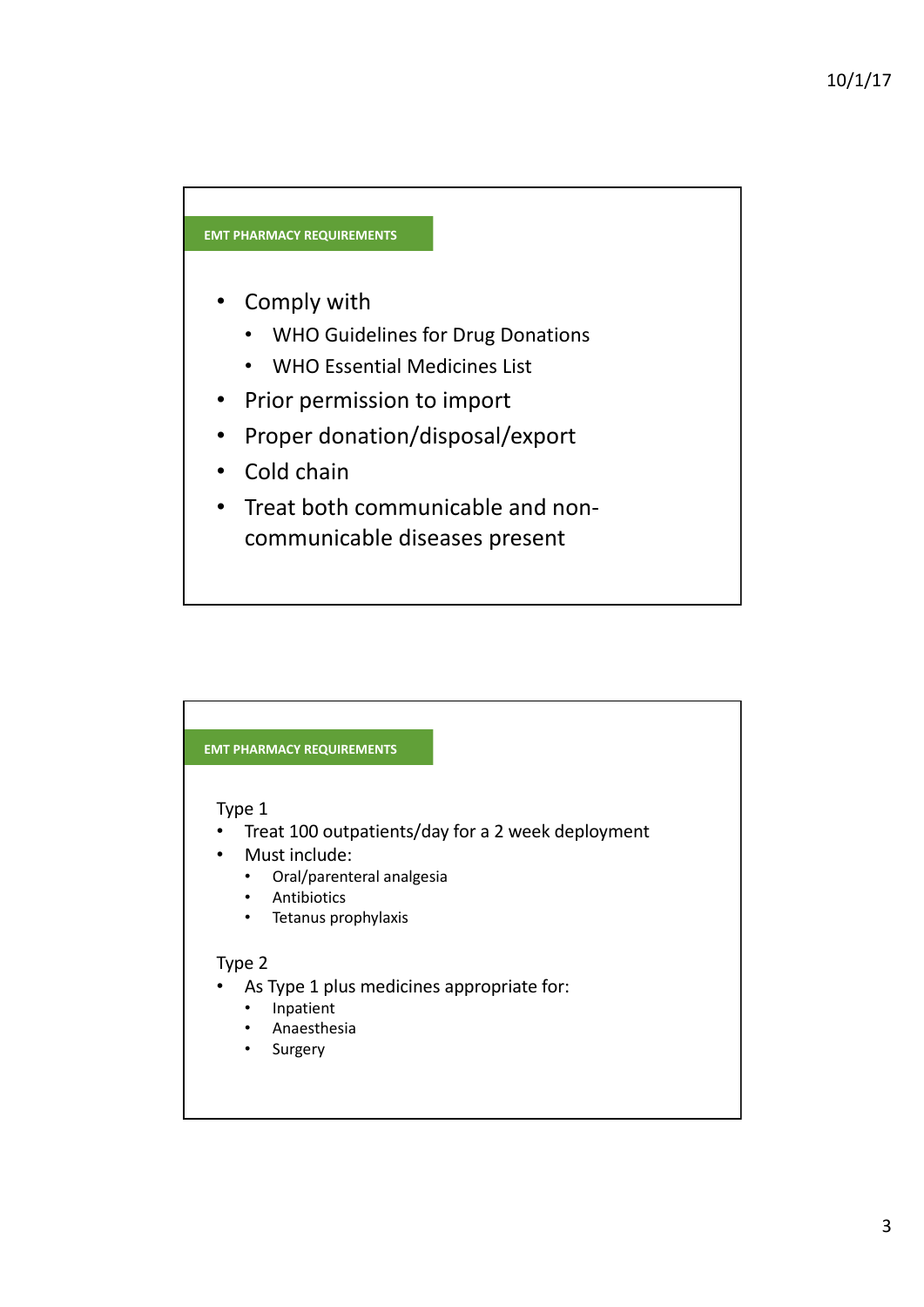#### **EMT PHARMACY REQUIREMENTS**

- Comply with
	- WHO Guidelines for Drug Donations
	- WHO Essential Medicines List
- Prior permission to import
- Proper donation/disposal/export
- Cold chain
- Treat both communicable and noncommunicable diseases present

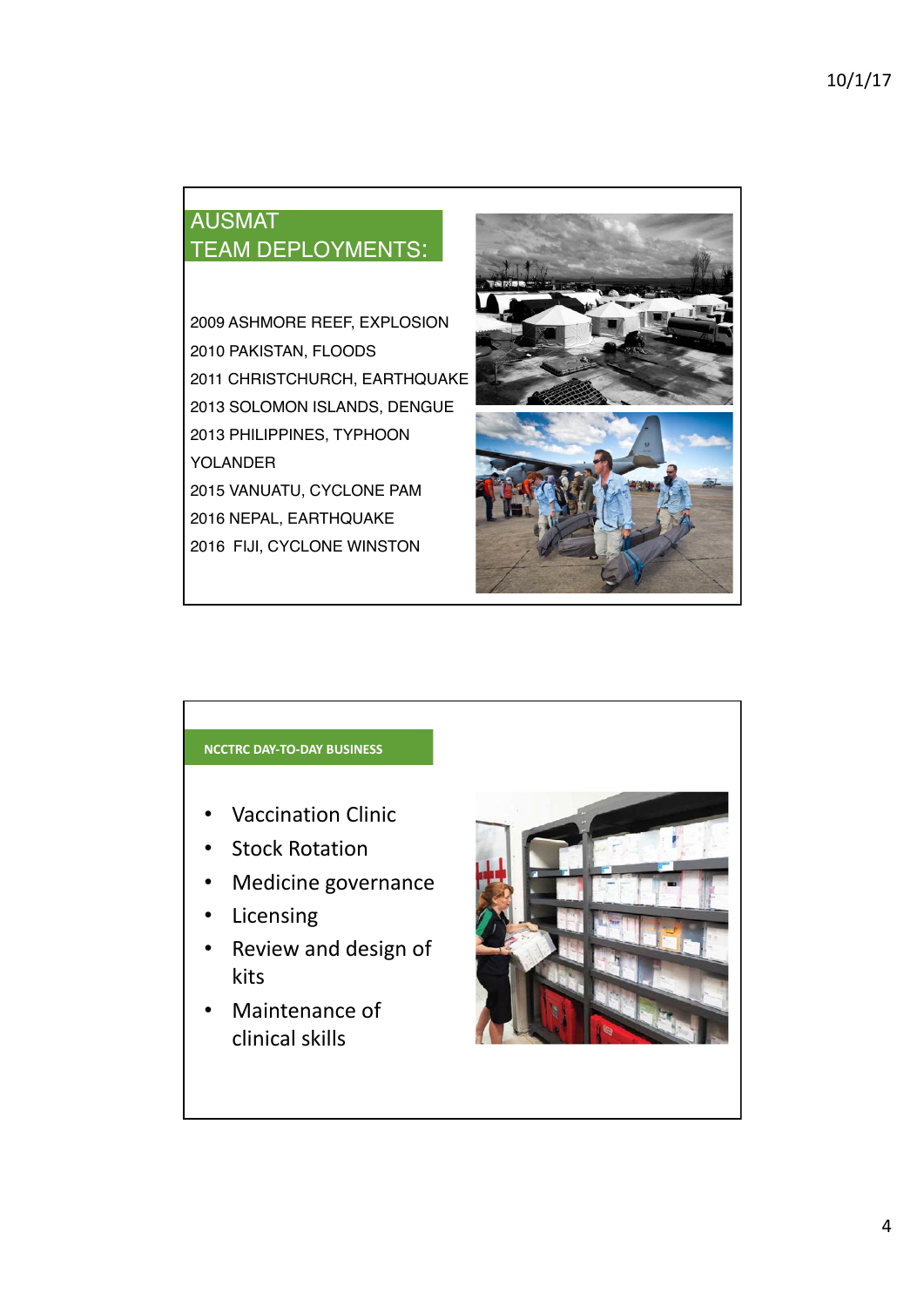# AUSMAT TEAM DEPLOYMENTS:

2009 ASHMORE REEF, EXPLOSION 2010 PAKISTAN, FLOODS 2011 CHRISTCHURCH, EARTHQUAKE 2013 SOLOMON ISLANDS, DENGUE 2013 PHILIPPINES, TYPHOON YOLANDER 2015 VANUATU, CYCLONE PAM 2016 NEPAL, EARTHQUAKE 2016 FIJI, CYCLONE WINSTON



### **NCCTRC DAY-TO-DAY BUSINESS**

- Vaccination Clinic
- Stock Rotation
- Medicine governance
- Licensing
- Review and design of kits
- Maintenance of clinical skills

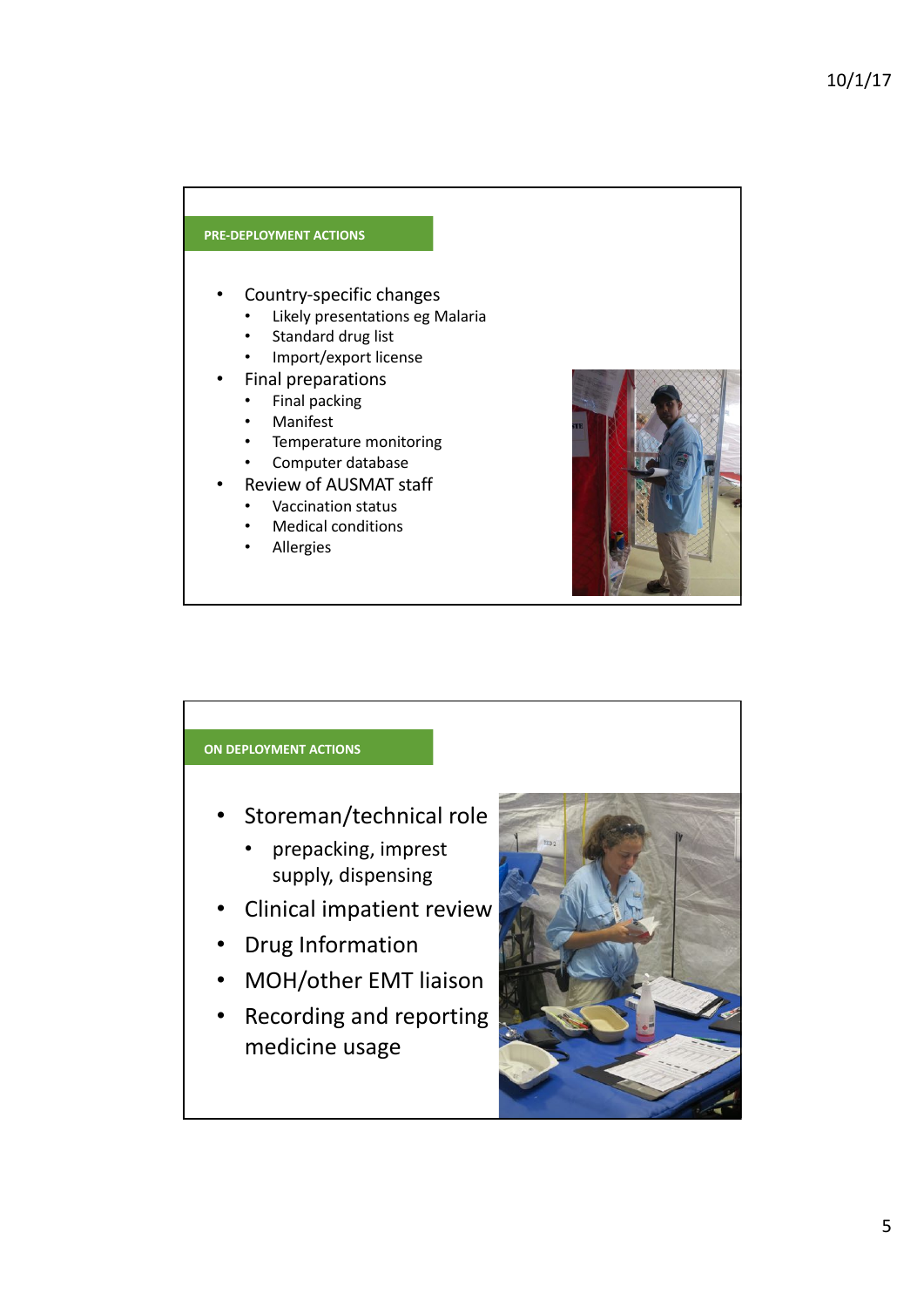## **PRE-DEPLOYMENT ACTIONS**

- Country-specific changes
	- Likely presentations eg Malaria
	- Standard drug list
	- Import/export license
	- Final preparations
		- Final packing
		- **Manifest**
		- Temperature monitoring
	- Computer database
	- Review of AUSMAT staff
	- Vaccination status
	- Medical conditions
	- **Allergies**



#### **ON DEPLOYMENT ACTIONS**

- Storeman/technical role
	- prepacking, imprest supply, dispensing
- Clinical impatient review
- **Drug Information**
- MOH/other EMT liaison
- Recording and reporting medicine usage

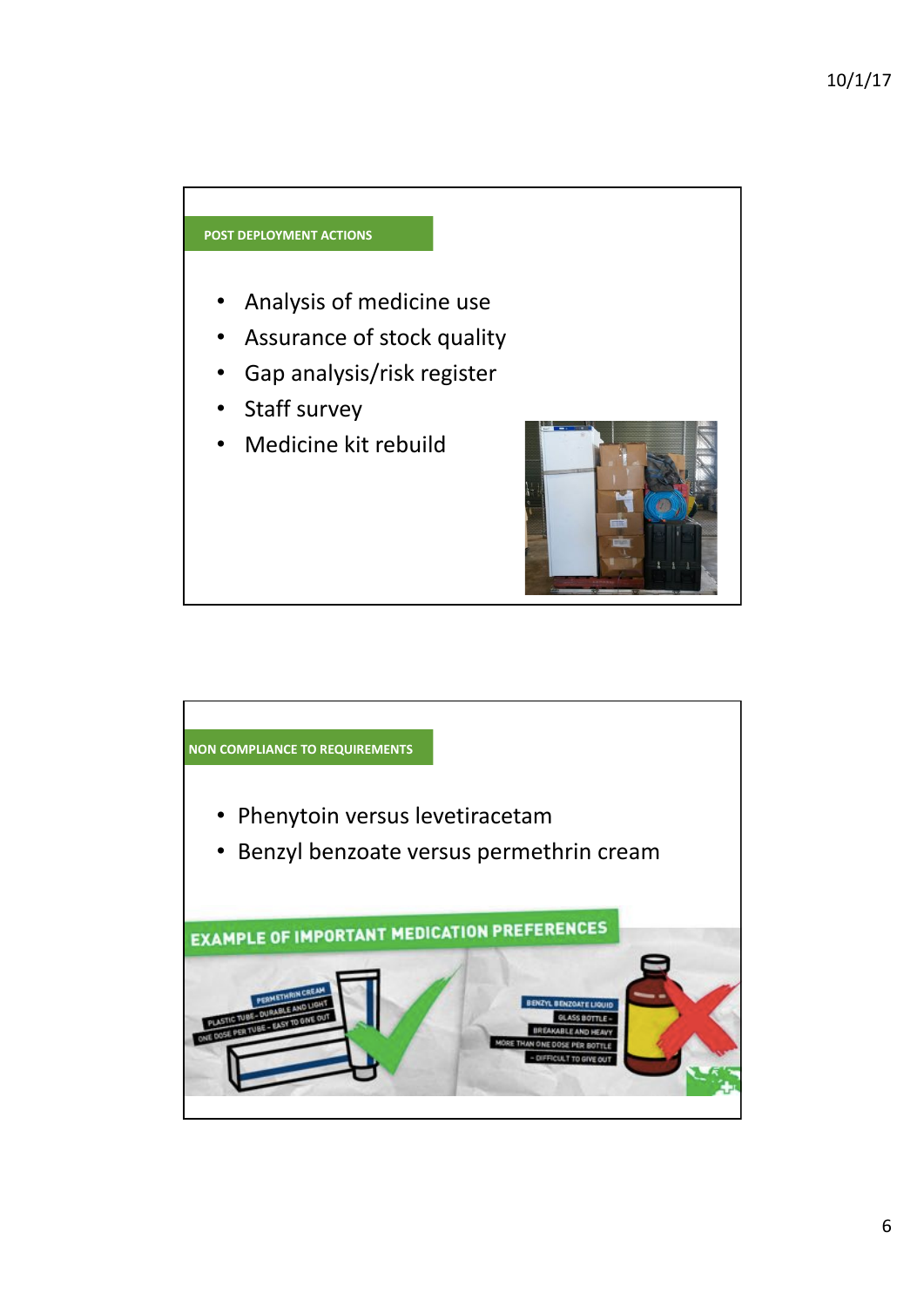

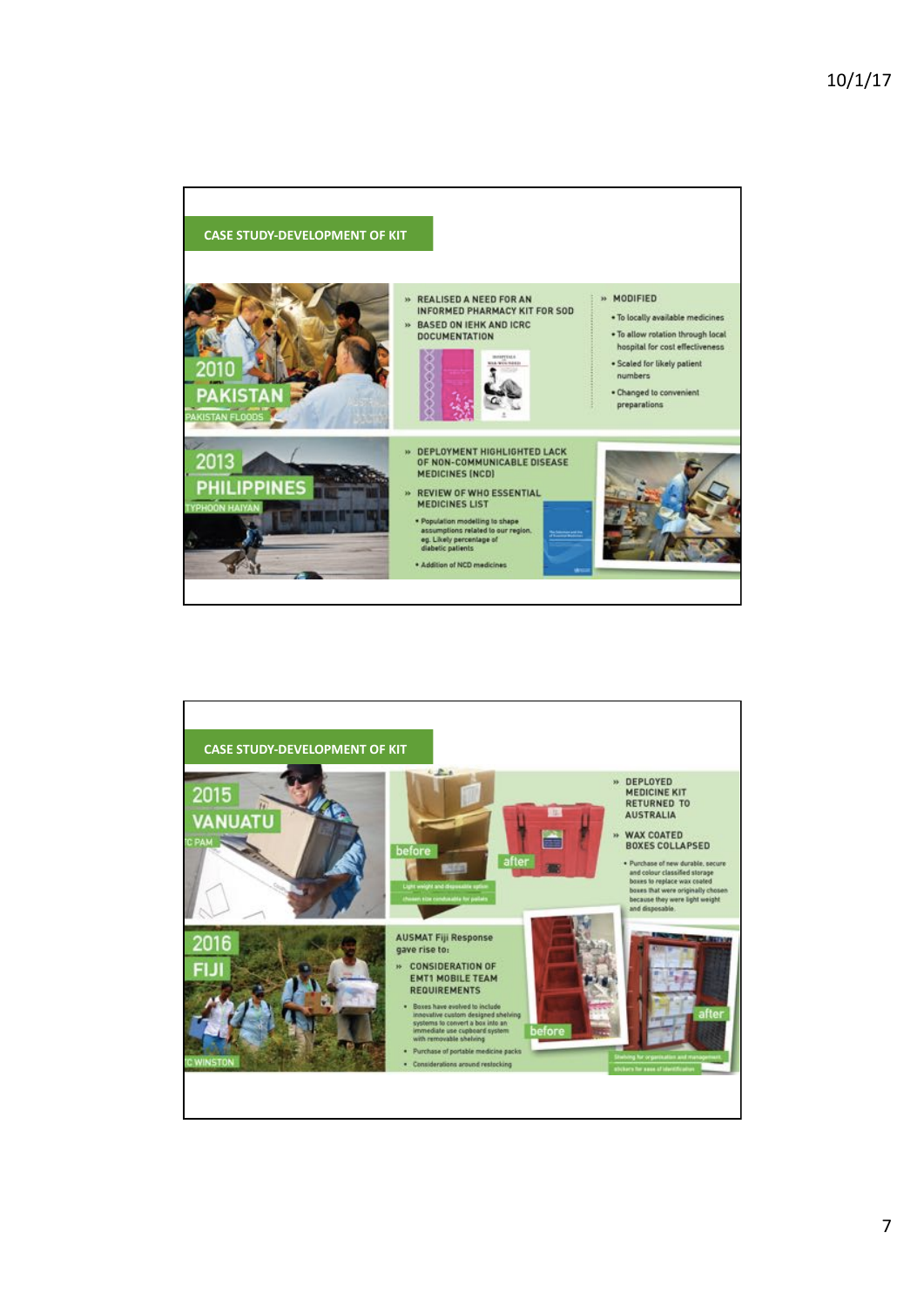

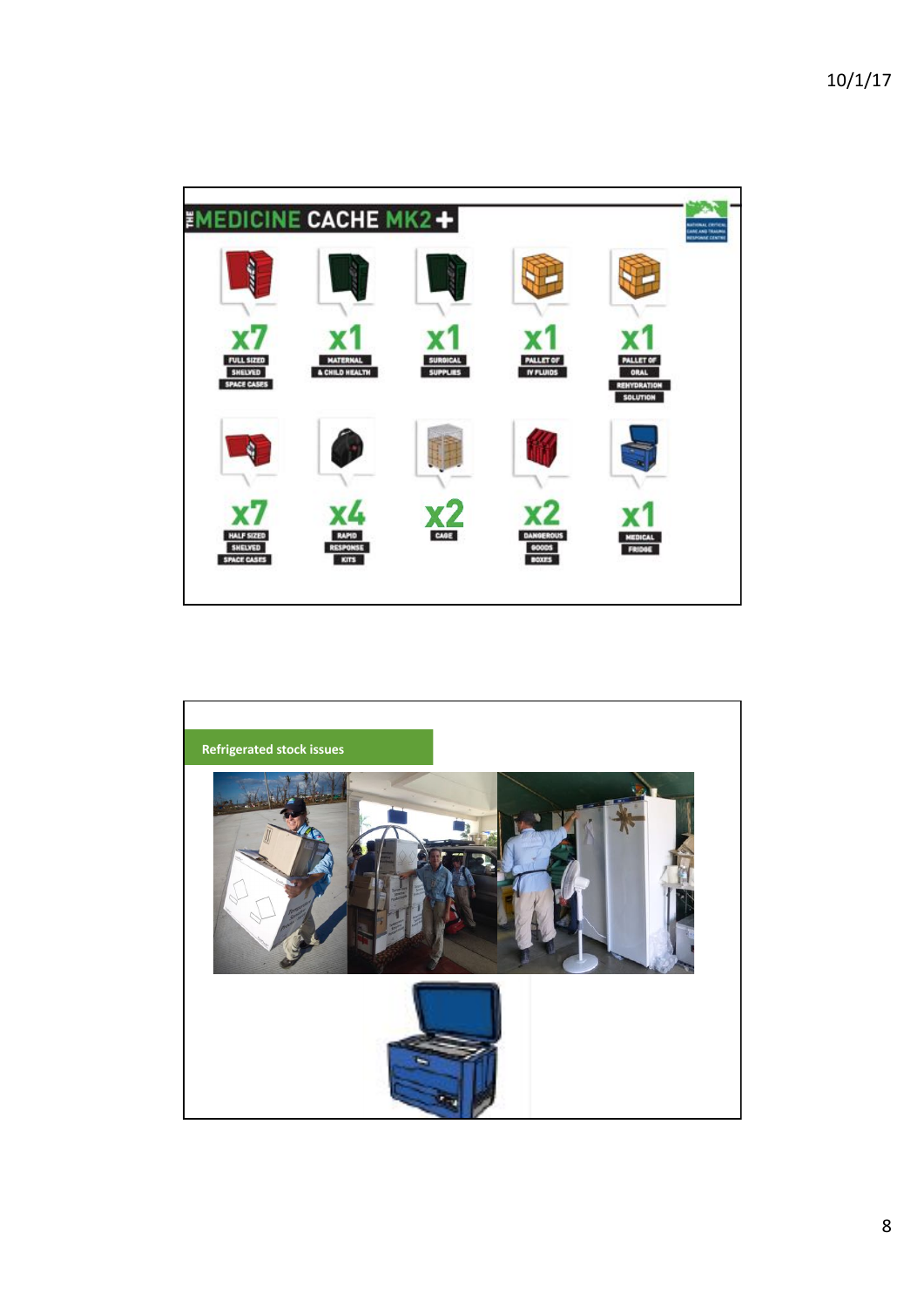